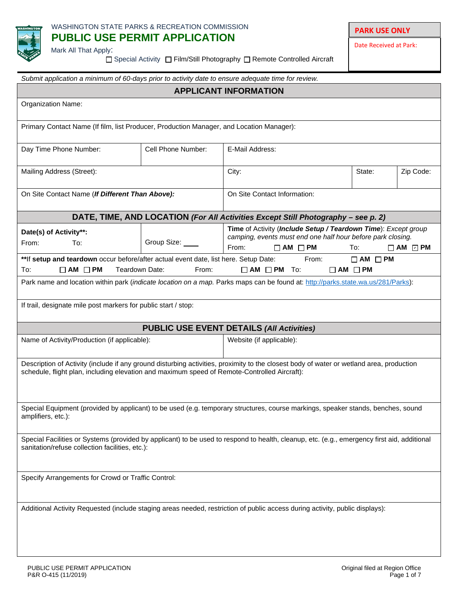

# **PARK USE ONLY**

Date Received at Park:

Mark All That Apply:

□ Special Activity □ Film/Still Photography □ Remote Controlled Aircraft

| Submit application a minimum of 60-days prior to activity date to ensure adequate time for review.                                                                                                                                       |                    |                                                                                                                                                               |                     |                           |  |
|------------------------------------------------------------------------------------------------------------------------------------------------------------------------------------------------------------------------------------------|--------------------|---------------------------------------------------------------------------------------------------------------------------------------------------------------|---------------------|---------------------------|--|
| <b>APPLICANT INFORMATION</b>                                                                                                                                                                                                             |                    |                                                                                                                                                               |                     |                           |  |
| Organization Name:                                                                                                                                                                                                                       |                    |                                                                                                                                                               |                     |                           |  |
| Primary Contact Name (If film, list Producer, Production Manager, and Location Manager):                                                                                                                                                 |                    |                                                                                                                                                               |                     |                           |  |
| Day Time Phone Number:                                                                                                                                                                                                                   | Cell Phone Number: | E-Mail Address:                                                                                                                                               |                     |                           |  |
| Mailing Address (Street):                                                                                                                                                                                                                |                    | City:                                                                                                                                                         | State:              | Zip Code:                 |  |
| On Site Contact Name (If Different Than Above):                                                                                                                                                                                          |                    | On Site Contact Information:                                                                                                                                  |                     |                           |  |
|                                                                                                                                                                                                                                          |                    | DATE, TIME, AND LOCATION (For All Activities Except Still Photography - see p. 2)                                                                             |                     |                           |  |
| Date(s) of Activity**:<br>From:<br>To:                                                                                                                                                                                                   | Group Size: ____   | Time of Activity (Include Setup / Teardown Time): Except group<br>camping, events must end one half hour before park closing.<br>From:<br>$\Box$ AM $\Box$ PM | To:                 | $\square$ AM $\square$ PM |  |
| ** If setup and teardown occur before/after actual event date, list here. Setup Date:<br>Teardown Date:<br>To:<br>$\Box$ AM $\Box$ PM                                                                                                    | From:              | From:<br>$\Box$ AM $\Box$ PM To:<br>$\Box$ AM $\Box$ PM                                                                                                       | $\Box$ AM $\Box$ PM |                           |  |
|                                                                                                                                                                                                                                          |                    | Park name and location within park (indicate location on a map. Parks maps can be found at: http://parks.state.wa.us/281/Parks):                              |                     |                           |  |
| If trail, designate mile post markers for public start / stop:                                                                                                                                                                           |                    |                                                                                                                                                               |                     |                           |  |
|                                                                                                                                                                                                                                          |                    | <b>PUBLIC USE EVENT DETAILS (All Activities)</b>                                                                                                              |                     |                           |  |
| Name of Activity/Production (if applicable):<br>Website (if applicable):                                                                                                                                                                 |                    |                                                                                                                                                               |                     |                           |  |
| Description of Activity (include if any ground disturbing activities, proximity to the closest body of water or wetland area, production<br>schedule, flight plan, including elevation and maximum speed of Remote-Controlled Aircraft): |                    |                                                                                                                                                               |                     |                           |  |
| Special Equipment (provided by applicant) to be used (e.g. temporary structures, course markings, speaker stands, benches, sound<br>amplifiers, etc.):                                                                                   |                    |                                                                                                                                                               |                     |                           |  |
| Special Facilities or Systems (provided by applicant) to be used to respond to health, cleanup, etc. (e.g., emergency first aid, additional<br>sanitation/refuse collection facilities, etc.):                                           |                    |                                                                                                                                                               |                     |                           |  |
| Specify Arrangements for Crowd or Traffic Control:                                                                                                                                                                                       |                    |                                                                                                                                                               |                     |                           |  |
| Additional Activity Requested (include staging areas needed, restriction of public access during activity, public displays):                                                                                                             |                    |                                                                                                                                                               |                     |                           |  |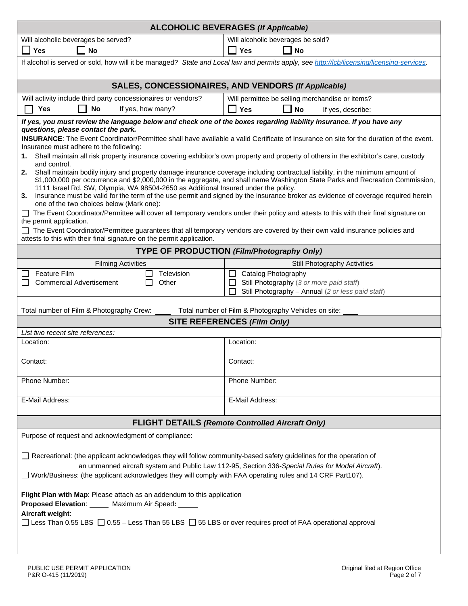| <b>ALCOHOLIC BEVERAGES (If Applicable)</b>                                                                                                                                                                                                                                                                                                                                                                                                                                                                                                     |                                                                                                                                           |  |  |  |
|------------------------------------------------------------------------------------------------------------------------------------------------------------------------------------------------------------------------------------------------------------------------------------------------------------------------------------------------------------------------------------------------------------------------------------------------------------------------------------------------------------------------------------------------|-------------------------------------------------------------------------------------------------------------------------------------------|--|--|--|
| Will alcoholic beverages be served?                                                                                                                                                                                                                                                                                                                                                                                                                                                                                                            | Will alcoholic beverages be sold?                                                                                                         |  |  |  |
| <b>No</b><br><b>Yes</b>                                                                                                                                                                                                                                                                                                                                                                                                                                                                                                                        | <b>No</b><br><b>Yes</b>                                                                                                                   |  |  |  |
| If alcohol is served or sold, how will it be managed? State and Local law and permits apply, see http://lcb/licensing/licensing-services.                                                                                                                                                                                                                                                                                                                                                                                                      |                                                                                                                                           |  |  |  |
|                                                                                                                                                                                                                                                                                                                                                                                                                                                                                                                                                | SALES, CONCESSIONAIRES, AND VENDORS (If Applicable)                                                                                       |  |  |  |
| Will activity include third party concessionaires or vendors?                                                                                                                                                                                                                                                                                                                                                                                                                                                                                  | Will permittee be selling merchandise or items?                                                                                           |  |  |  |
| If yes, how many?<br>Yes<br>No                                                                                                                                                                                                                                                                                                                                                                                                                                                                                                                 | 7 Yes<br><b>No</b><br>If yes, describe:                                                                                                   |  |  |  |
| If yes, you must review the language below and check one of the boxes regarding liability insurance. If you have any<br>questions, please contact the park.                                                                                                                                                                                                                                                                                                                                                                                    |                                                                                                                                           |  |  |  |
| Insurance must adhere to the following:                                                                                                                                                                                                                                                                                                                                                                                                                                                                                                        | INSURANCE: The Event Coordinator/Permittee shall have available a valid Certificate of Insurance on site for the duration of the event.   |  |  |  |
| 1.<br>and control.                                                                                                                                                                                                                                                                                                                                                                                                                                                                                                                             | Shall maintain all risk property insurance covering exhibitor's own property and property of others in the exhibitor's care, custody      |  |  |  |
| Shall maintain bodily injury and property damage insurance coverage including contractual liability, in the minimum amount of<br>2.<br>\$1,000,000 per occurrence and \$2,000,000 in the aggregate, and shall name Washington State Parks and Recreation Commission,<br>1111 Israel Rd. SW, Olympia, WA 98504-2650 as Additional Insured under the policy.<br>3. Insurance must be valid for the term of the use permit and signed by the insurance broker as evidence of coverage required herein<br>one of the two choices below (Mark one): |                                                                                                                                           |  |  |  |
|                                                                                                                                                                                                                                                                                                                                                                                                                                                                                                                                                | The Event Coordinator/Permittee will cover all temporary vendors under their policy and attests to this with their final signature on     |  |  |  |
| the permit application.<br>attests to this with their final signature on the permit application.                                                                                                                                                                                                                                                                                                                                                                                                                                               | The Event Coordinator/Permittee guarantees that all temporary vendors are covered by their own valid insurance policies and               |  |  |  |
|                                                                                                                                                                                                                                                                                                                                                                                                                                                                                                                                                | <b>TYPE OF PRODUCTION (Film/Photography Only)</b>                                                                                         |  |  |  |
| <b>Filming Activities</b>                                                                                                                                                                                                                                                                                                                                                                                                                                                                                                                      | Still Photography Activities                                                                                                              |  |  |  |
| <b>Feature Film</b><br>Television<br><b>Commercial Advertisement</b><br>Other                                                                                                                                                                                                                                                                                                                                                                                                                                                                  | Catalog Photography<br>$\perp$<br>Still Photography (3 or more paid staff)<br>$\Box$<br>Still Photography - Annual (2 or less paid staff) |  |  |  |
| Total number of Film & Photography Crew:                                                                                                                                                                                                                                                                                                                                                                                                                                                                                                       | Total number of Film & Photography Vehicles on site:                                                                                      |  |  |  |
|                                                                                                                                                                                                                                                                                                                                                                                                                                                                                                                                                | <b>SITE REFERENCES (Film Only)</b>                                                                                                        |  |  |  |
| List two recent site references:                                                                                                                                                                                                                                                                                                                                                                                                                                                                                                               |                                                                                                                                           |  |  |  |
| Location:                                                                                                                                                                                                                                                                                                                                                                                                                                                                                                                                      | Location:                                                                                                                                 |  |  |  |
| Contact:                                                                                                                                                                                                                                                                                                                                                                                                                                                                                                                                       | Contact:                                                                                                                                  |  |  |  |
| Phone Number:                                                                                                                                                                                                                                                                                                                                                                                                                                                                                                                                  | Phone Number:                                                                                                                             |  |  |  |
| E-Mail Address:                                                                                                                                                                                                                                                                                                                                                                                                                                                                                                                                | E-Mail Address:                                                                                                                           |  |  |  |
| <b>FLIGHT DETAILS (Remote Controlled Aircraft Only)</b>                                                                                                                                                                                                                                                                                                                                                                                                                                                                                        |                                                                                                                                           |  |  |  |
| Purpose of request and acknowledgment of compliance:                                                                                                                                                                                                                                                                                                                                                                                                                                                                                           |                                                                                                                                           |  |  |  |
| Recreational: (the applicant acknowledges they will follow community-based safety guidelines for the operation of                                                                                                                                                                                                                                                                                                                                                                                                                              |                                                                                                                                           |  |  |  |
| an unmanned aircraft system and Public Law 112-95, Section 336-Special Rules for Model Aircraft).                                                                                                                                                                                                                                                                                                                                                                                                                                              |                                                                                                                                           |  |  |  |
| □ Work/Business: (the applicant acknowledges they will comply with FAA operating rules and 14 CRF Part107).                                                                                                                                                                                                                                                                                                                                                                                                                                    |                                                                                                                                           |  |  |  |
| Flight Plan with Map: Please attach as an addendum to this application<br><b>Proposed Elevation:</b><br>Maximum Air Speed:<br>Aircraft weight:                                                                                                                                                                                                                                                                                                                                                                                                 |                                                                                                                                           |  |  |  |
| □ Less Than 0.55 LBS □ 0.55 - Less Than 55 LBS □ 55 LBS or over requires proof of FAA operational approval                                                                                                                                                                                                                                                                                                                                                                                                                                     |                                                                                                                                           |  |  |  |
|                                                                                                                                                                                                                                                                                                                                                                                                                                                                                                                                                |                                                                                                                                           |  |  |  |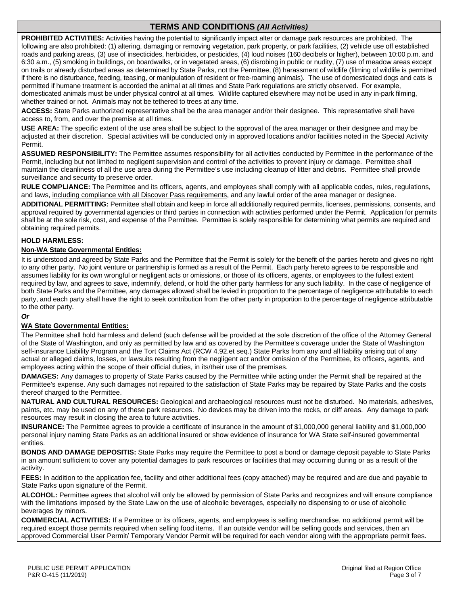# **TERMS AND CONDITIONS** *(All Activities)*

**PROHIBITED ACTIVITIES:** Activities having the potential to significantly impact alter or damage park resources are prohibited. The following are also prohibited: (1) altering, damaging or removing vegetation, park property, or park facilities, (2) vehicle use off established roads and parking areas, (3) use of insecticides, herbicides, or pesticides, (4) loud noises (160 decibels or higher), between 10:00 p.m. and 6:30 a.m., (5) smoking in buildings, on boardwalks, or in vegetated areas, (6) disrobing in public or nudity, (7) use of meadow areas except on trails or already disturbed areas as determined by State Parks, not the Permittee, (8) harassment of wildlife (filming of wildlife is permitted if there is no disturbance, feeding, teasing, or manipulation of resident or free-roaming animals). The use of domesticated dogs and cats is permitted if humane treatment is accorded the animal at all times and State Park regulations are strictly observed. For example, domesticated animals must be under physical control at all times. Wildlife captured elsewhere may not be used in any in-park filming, whether trained or not.Animals may not be tethered to trees at any time.

**ACCESS:** State Parks authorized representative shall be the area manager and/or their designee. This representative shall have access to, from, and over the premise at all times.

**USE AREA:** The specific extent of the use area shall be subject to the approval of the area manager or their designee and may be adjusted at their discretion. Special activities will be conducted only in approved locations and/or facilities noted in the Special Activity Permit.

**ASSUMED RESPONSIBILITY:** The Permittee assumes responsibility for all activities conducted by Permittee in the performance of the Permit, including but not limited to negligent supervision and control of the activities to prevent injury or damage. Permittee shall maintain the cleanliness of all the use area during the Permittee's use including cleanup of litter and debris. Permittee shall provide surveillance and security to preserve order.

**RULE COMPLIANCE:** The Permittee and its officers, agents, and employees shall comply with all applicable codes, rules, regulations, and laws, including compliance with all Discover Pass requirements, and any lawful order of the area manager or designee.

**ADDITIONAL PERMITTING:** Permittee shall obtain and keep in force all additionally required permits, licenses, permissions, consents, and approval required by governmental agencies or third parties in connection with activities performed under the Permit. Application for permits shall be at the sole risk, cost, and expense of the Permittee. Permittee is solely responsible for determining what permits are required and obtaining required permits.

#### **HOLD HARMLESS:**

#### **Non-WA State Governmental Entities:**

It is understood and agreed by State Parks and the Permittee that the Permit is solely for the benefit of the parties hereto and gives no right to any other party. No joint venture or partnership is formed as a result of the Permit. Each party hereto agrees to be responsible and assumes liability for its own wrongful or negligent acts or omissions, or those of its officers, agents, or employees to the fullest extent required by law, and agrees to save, indemnify, defend, or hold the other party harmless for any such liability. In the case of negligence of both State Parks and the Permittee, any damages allowed shall be levied in proportion to the percentage of negligence attributable to each party, and each party shall have the right to seek contribution from the other party in proportion to the percentage of negligence attributable to the other party.

#### *Or*

#### **WA State Governmental Entities:**

The Permittee shall hold harmless and defend (such defense will be provided at the sole discretion of the office of the Attorney General of the State of Washington, and only as permitted by law and as covered by the Permittee's coverage under the State of Washington self-insurance Liability Program and the Tort Claims Act (RCW 4.92.et seq.) State Parks from any and all liability arising out of any actual or alleged claims, losses, or lawsuits resulting from the negligent act and/or omission of the Permittee, its officers, agents, and employees acting within the scope of their official duties, in its/their use of the premises.

**DAMAGES:** Any damages to property of State Parks caused by the Permittee while acting under the Permit shall be repaired at the Permittee's expense. Any such damages not repaired to the satisfaction of State Parks may be repaired by State Parks and the costs thereof charged to the Permittee.

**NATURAL AND CULTURAL RESOURCES:** Geological and archaeological resources must not be disturbed. No materials, adhesives, paints, etc. may be used on any of these park resources. No devices may be driven into the rocks, or cliff areas. Any damage to park resources may result in closing the area to future activities.

**INSURANCE:** The Permittee agrees to provide a certificate of insurance in the amount of \$1,000,000 general liability and \$1,000,000 personal injury naming State Parks as an additional insured or show evidence of insurance for WA State self-insured governmental entities.

**BONDS AND DAMAGE DEPOSITIS:** State Parks may require the Permittee to post a bond or damage deposit payable to State Parks in an amount sufficient to cover any potential damages to park resources or facilities that may occurring during or as a result of the activity.

**FEES:** In addition to the application fee, facility and other additional fees (copy attached) may be required and are due and payable to State Parks upon signature of the Permit.

**ALCOHOL:** Permittee agrees that alcohol will only be allowed by permission of State Parks and recognizes and will ensure compliance with the limitations imposed by the State Law on the use of alcoholic beverages, especially no dispensing to or use of alcoholic beverages by minors.

**COMMERCIAL ACTIVITIES:** If a Permittee or its officers, agents, and employees is selling merchandise, no additional permit will be required except those permits required when selling food items. If an outside vendor will be selling goods and services, then an approved Commercial User Permit/ Temporary Vendor Permit will be required for each vendor along with the appropriate permit fees.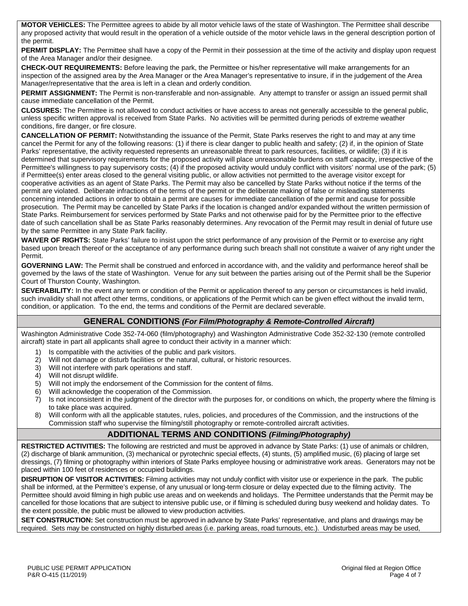**MOTOR VEHICLES:** The Permittee agrees to abide by all motor vehicle laws of the state of Washington. The Permittee shall describe any proposed activity that would result in the operation of a vehicle outside of the motor vehicle laws in the general description portion of the permit.

PERMIT DISPLAY: The Permittee shall have a copy of the Permit in their possession at the time of the activity and display upon request of the Area Manager and/or their designee.

**CHECK-OUT REQUIREMENTS:** Before leaving the park, the Permittee or his/her representative will make arrangements for an inspection of the assigned area by the Area Manager or the Area Manager's representative to insure, if in the judgement of the Area Manager/representative that the area is left in a clean and orderly condition.

**PERMIT ASSIGNMENT:** The Permit is non-transferable and non-assignable. Any attempt to transfer or assign an issued permit shall cause immediate cancellation of the Permit.

**CLOSURES:** The Permittee is not allowed to conduct activities or have access to areas not generally accessible to the general public, unless specific written approval is received from State Parks. No activities will be permitted during periods of extreme weather conditions, fire danger, or fire closure.

**CANCELLATION OF PERMIT:** Notwithstanding the issuance of the Permit, State Parks reserves the right to and may at any time cancel the Permit for any of the following reasons: (1) if there is clear danger to public health and safety; (2) if, in the opinion of State Parks' representative, the activity requested represents an unreasonable threat to park resources, facilities, or wildlife; (3) if it is determined that supervisory requirements for the proposed activity will place unreasonable burdens on staff capacity, irrespective of the Permittee's willingness to pay supervisory costs; (4) if the proposed activity would unduly conflict with visitors' normal use of the park; (5) if Permittee(s) enter areas closed to the general visiting public, or allow activities not permitted to the average visitor except for cooperative activities as an agent of State Parks. The Permit may also be cancelled by State Parks without notice if the terms of the permit are violated. Deliberate infractions of the terms of the permit or the deliberate making of false or misleading statements concerning intended actions in order to obtain a permit are causes for immediate cancellation of the permit and cause for possible prosecution. The Permit may be cancelled by State Parks if the location is changed and/or expanded without the written permission of State Parks. Reimbursement for services performed by State Parks and not otherwise paid for by the Permittee prior to the effective date of such cancellation shall be as State Parks reasonably determines. Any revocation of the Permit may result in denial of future use by the same Permittee in any State Park facility.

**WAIVER OF RIGHTS:** State Parks' failure to insist upon the strict performance of any provision of the Permit or to exercise any right based upon breach thereof or the acceptance of any performance during such breach shall not constitute a waiver of any right under the Permit.

**GOVERNING LAW:** The Permit shall be construed and enforced in accordance with, and the validity and performance hereof shall be governed by the laws of the state of Washington. Venue for any suit between the parties arising out of the Permit shall be the Superior Court of Thurston County, Washington.

**SEVERABILITY:** In the event any term or condition of the Permit or application thereof to any person or circumstances is held invalid, such invalidity shall not affect other terms, conditions, or applications of the Permit which can be given effect without the invalid term, condition, or application. To the end, the terms and conditions of the Permit are declared severable.

### **GENERAL CONDITIONS** *(For Film/Photography & Remote-Controlled Aircraft)*

Washington Administrative Code 352-74-060 (film/photography) and Washington Administrative Code 352-32-130 (remote controlled aircraft) state in part all applicants shall agree to conduct their activity in a manner which:

- 1) Is compatible with the activities of the public and park visitors.
- 2) Will not damage or disturb facilities or the natural, cultural, or historic resources.
- 3) Will not interfere with park operations and staff.
- 4) Will not disrupt wildlife.
- 5) Will not imply the endorsement of the Commission for the content of films.
- 6) Will acknowledge the cooperation of the Commission.<br>7) Is not inconsistent in the judgment of the director with t
- Is not inconsistent in the judgment of the director with the purposes for, or conditions on which, the property where the filming is to take place was acquired.
- 8) Will conform with all the applicable statutes, rules, policies, and procedures of the Commission, and the instructions of the Commission staff who supervise the filming/still photography or remote-controlled aircraft activities.

### **ADDITIONAL TERMS AND CONDITIONS** *(Filming/Photography)*

**RESTRICTED ACTIVITIES:** The following are restricted and must be approved in advance by State Parks: (1) use of animals or children, (2) discharge of blank ammunition, (3) mechanical or pyrotechnic special effects, (4) stunts, (5) amplified music, (6) placing of large set dressings, (7) filming or photography within interiors of State Parks employee housing or administrative work areas. Generators may not be placed within 100 feet of residences or occupied buildings.

**DISRUPTION OF VISITOR ACTIVITIES:** Filming activities may not unduly conflict with visitor use or experience in the park. The public shall be informed, at the Permittee's expense, of any unusual or long-term closure or delay expected due to the filming activity. The Permittee should avoid filming in high public use areas and on weekends and holidays. The Permittee understands that the Permit may be cancelled for those locations that are subject to intensive public use, or if filming is scheduled during busy weekend and holiday dates. To the extent possible, the public must be allowed to view production activities.

**SET CONSTRUCTION:** Set construction must be approved in advance by State Parks' representative, and plans and drawings may be required. Sets may be constructed on highly disturbed areas (i.e. parking areas, road turnouts, etc.). Undisturbed areas may be used,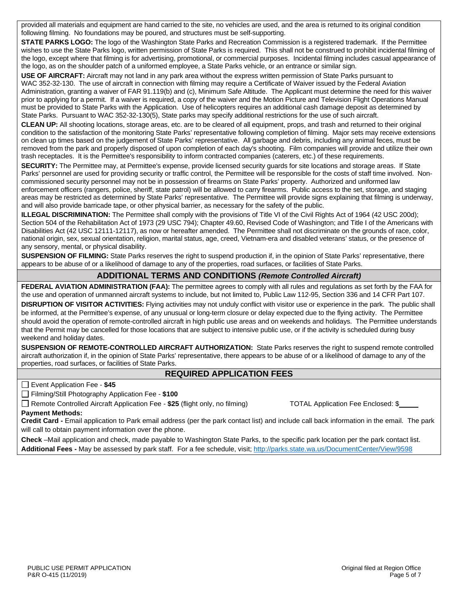provided all materials and equipment are hand carried to the site, no vehicles are used, and the area is returned to its original condition following filming. No foundations may be poured, and structures must be self-supporting.

**STATE PARKS LOGO:** The logo of the Washington State Parks and Recreation Commission is a registered trademark. If the Permittee wishes to use the State Parks logo, written permission of State Parks is required. This shall not be construed to prohibit incidental filming of the logo, except where that filming is for advertising, promotional, or commercial purposes. Incidental filming includes casual appearance of the logo, as on the shoulder patch of a uniformed employee, a State Parks vehicle, or an entrance or similar sign.

**USE OF AIRCRAFT:** Aircraft may not land in any park area without the express written permission of State Parks pursuant to WAC 352-32-130. The use of aircraft in connection with filming may require a Certificate of Waiver issued by the Federal Aviation Administration, granting a waiver of FAR 91.119(b) and (c), Minimum Safe Altitude. The Applicant must determine the need for this waiver prior to applying for a permit. If a waiver is required, a copy of the waiver and the Motion Picture and Television Flight Operations Manual must be provided to State Parks with the Application. Use of helicopters requires an additional cash damage deposit as determined by State Parks. Pursuant to WAC 352-32-130(5), State parks may specify additional restrictions for the use of such aircraft.

**CLEAN UP:** All shooting locations, storage areas, etc. are to be cleared of all equipment, props, and trash and returned to their original condition to the satisfaction of the monitoring State Parks' representative following completion of filming. Major sets may receive extensions on clean up times based on the judgement of State Parks' representative. All garbage and debris, including any animal feces, must be removed from the park and properly disposed of upon completion of each day's shooting. Film companies will provide and utilize their own trash receptacles. It is the Permittee's responsibility to inform contracted companies (caterers, etc.) of these requirements.

**SECURITY:** The Permittee may, at Permittee's expense, provide licensed security guards for site locations and storage areas. If State Parks' personnel are used for providing security or traffic control, the Permittee will be responsible for the costs of staff time involved. Noncommissioned security personnel may not be in possession of firearms on State Parks' property. Authorized and uniformed law enforcement officers (rangers, police, sheriff, state patrol) will be allowed to carry firearms. Public access to the set, storage, and staging areas may be restricted as determined by State Parks' representative. The Permittee will provide signs explaining that filming is underway, and will also provide barricade tape, or other physical barrier, as necessary for the safety of the public.

**ILLEGAL DISCRIMINATION:** The Permittee shall comply with the provisions of Title VI of the Civil Rights Act of 1964 (42 USC 200d); Section 504 of the Rehabilitation Act of 1973 (29 USC 794); Chapter 49.60, Revised Code of Washington; and Title I of the Americans with Disabilities Act (42 USC 12111-12117), as now or hereafter amended. The Permittee shall not discriminate on the grounds of race, color, national origin, sex, sexual orientation, religion, marital status, age, creed, Vietnam-era and disabled veterans' status, or the presence of any sensory, mental, or physical disability.

**SUSPENSION OF FILMING:** State Parks reserves the right to suspend production if, in the opinion of State Parks' representative, there appears to be abuse of or a likelihood of damage to any of the properties, road surfaces, or facilities of State Parks.

## **ADDITIONAL TERMS AND CONDITIONS** *(Remote Controlled Aircraft)*

**FEDERAL AVIATION ADMINISTRATION (FAA):** The permittee agrees to comply with all rules and regulations as set forth by the FAA for the use and operation of unmanned aircraft systems to include, but not limited to, Public Law 112-95, Section 336 and 14 CFR Part 107.

**DISRUPTION OF VISITOR ACTIVITIES:** Flying activities may not unduly conflict with visitor use or experience in the park. The public shall be informed, at the Permittee's expense, of any unusual or long-term closure or delay expected due to the flying activity. The Permittee should avoid the operation of remote-controlled aircraft in high public use areas and on weekends and holidays. The Permittee understands that the Permit may be cancelled for those locations that are subject to intensive public use, or if the activity is scheduled during busy weekend and holiday dates.

**SUSPENSION OF REMOTE-CONTROLLED AIRCRAFT AUTHORIZATION:** State Parks reserves the right to suspend remote controlled aircraft authorization if, in the opinion of State Parks' representative, there appears to be abuse of or a likelihood of damage to any of the properties, road surfaces, or facilities of State Parks.

### **REQUIRED APPLICATION FEES**

Event Application Fee - **\$45**

Filming/Still Photography Application Fee - **\$100**

Remote Controlled Aircraft Application Fee - **\$25** (flight only, no filming) TOTAL Application Fee Enclosed: \$

**Payment Methods:** 

**Credit Card -** Email application to Park email address (per the park contact list) and include call back information in the email. The park will call to obtain payment information over the phone.

**Check** –Mail application and check, made payable to Washington State Parks, to the specific park location per the park contact list. **Additional Fees -** May be assessed by park staff. For a fee schedule, visit;<http://parks.state.wa.us/DocumentCenter/View/9598>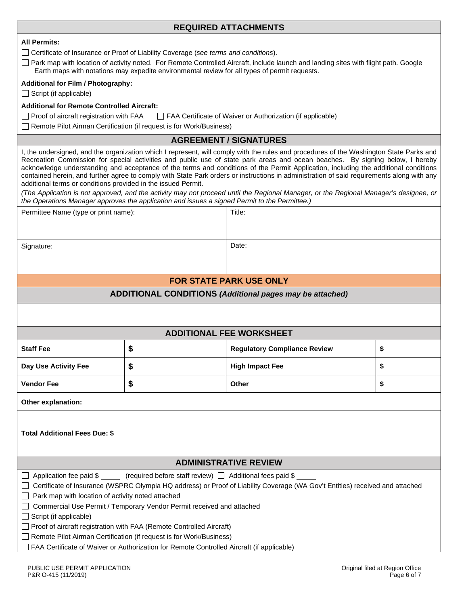## **REQUIRED ATTACHMENTS**

|  |  | <b>All Permits:</b> |
|--|--|---------------------|
|--|--|---------------------|

Certificate of Insurance or Proof of Liability Coverage (*see terms and conditions*).

 $\Box$  Park map with location of activity noted. For Remote Controlled Aircraft, include launch and landing sites with flight path. Google Earth maps with notations may expedite environmental review for all types of permit requests.

#### **Additional for Film / Photography:**

 $\Box$  Script (if applicable)

### **Additional for Remote Controlled Aircraft:**

 $\Box$  Proof of aircraft registration with FAA  $\Box$  FAA Certificate of Waiver or Authorization (if applicable)

□ Remote Pilot Airman Certification (if request is for Work/Business)

### **AGREEMENT / SIGNATURES**

I, the undersigned, and the organization which I represent, will comply with the rules and procedures of the Washington State Parks and Recreation Commission for special activities and public use of state park areas and ocean beaches. By signing below, I hereby acknowledge understanding and acceptance of the terms and conditions of the Permit Application, including the additional conditions contained herein, and further agree to comply with State Park orders or instructions in administration of said requirements along with any additional terms or conditions provided in the issued Permit.

*(The Application is not approved, and the activity may not proceed until the Regional Manager, or the Regional Manager's designee, or the Operations Manager approves the application and issues a signed Permit to the Permittee.)*

| Permittee Name (type or print name):                                                                                           |    | Title:                                                          |    |  |
|--------------------------------------------------------------------------------------------------------------------------------|----|-----------------------------------------------------------------|----|--|
|                                                                                                                                |    |                                                                 |    |  |
|                                                                                                                                |    |                                                                 |    |  |
| Signature:                                                                                                                     |    | Date:                                                           |    |  |
|                                                                                                                                |    |                                                                 |    |  |
|                                                                                                                                |    | <b>FOR STATE PARK USE ONLY</b>                                  |    |  |
|                                                                                                                                |    | <b>ADDITIONAL CONDITIONS (Additional pages may be attached)</b> |    |  |
|                                                                                                                                |    |                                                                 |    |  |
|                                                                                                                                |    |                                                                 |    |  |
|                                                                                                                                |    | <b>ADDITIONAL FEE WORKSHEET</b>                                 |    |  |
| <b>Staff Fee</b>                                                                                                               | \$ | <b>Regulatory Compliance Review</b>                             | \$ |  |
| Day Use Activity Fee                                                                                                           | \$ | <b>High Impact Fee</b>                                          | \$ |  |
| <b>Vendor Fee</b>                                                                                                              | \$ | Other                                                           | \$ |  |
| Other explanation:                                                                                                             |    |                                                                 |    |  |
|                                                                                                                                |    |                                                                 |    |  |
| <b>Total Additional Fees Due: \$</b>                                                                                           |    |                                                                 |    |  |
|                                                                                                                                |    |                                                                 |    |  |
| <b>ADMINISTRATIVE REVIEW</b>                                                                                                   |    |                                                                 |    |  |
| $\Box$ Application fee paid \$ (required before staff review) $\Box$ Additional fees paid \$                                   |    |                                                                 |    |  |
| □ Certificate of Insurance (WSPRC Olympia HQ address) or Proof of Liability Coverage (WA Gov't Entities) received and attached |    |                                                                 |    |  |
| $\Box$ Park map with location of activity noted attached                                                                       |    |                                                                 |    |  |
| □ Commercial Use Permit / Temporary Vendor Permit received and attached                                                        |    |                                                                 |    |  |
| $\Box$ Script (if applicable)                                                                                                  |    |                                                                 |    |  |
| □ Proof of aircraft registration with FAA (Remote Controlled Aircraft)                                                         |    |                                                                 |    |  |
| Remote Pilot Airman Certification (if request is for Work/Business)                                                            |    |                                                                 |    |  |
| $\Box$ FAA O-atter to at Materia and different on the Demotr O-atouted Atmosfield contracted                                   |    |                                                                 |    |  |